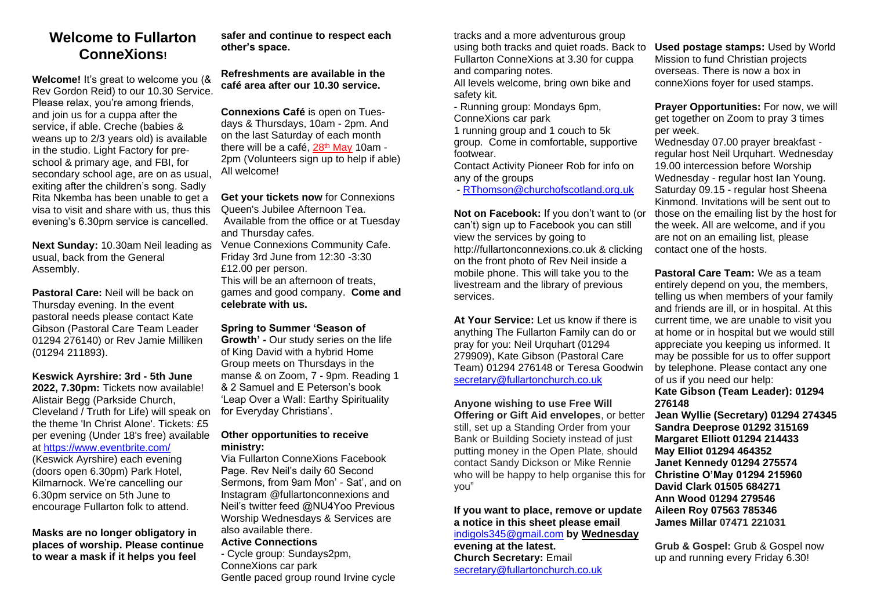### **Welcome to Fullarton ConneXions!**

**Welcome!** It's great to welcome you (& Rev Gordon Reid) to our 10.30 Service. Please relax, you're among friends, and join us for a cuppa after the service, if able. Creche (babies & weans up to 2/3 years old) is available in the studio. Light Factory for preschool & primary age, and FBI, for secondary school age, are on as usual, exiting after the children's song. Sadly Rita Nkemba has been unable to get a visa to visit and share with us, thus this evening's 6.30pm service is cancelled.

**Next Sunday:** 10.30am Neil leading as usual, back from the General Assembly.

**Pastoral Care:** Neil will be back on Thursday evening. In the event pastoral needs please contact Kate Gibson (Pastoral Care Team Leader 01294 276140) or Rev Jamie Milliken (01294 211893).

**Keswick Ayrshire: 3rd - 5th June 2022, 7.30pm:** Tickets now available! Alistair Begg (Parkside Church, Cleveland / Truth for Life) will speak on the theme 'In Christ Alone'. Tickets: £5 per evening (Under 18's free) available at [https://www.eventbrite.com/](https://www.eventbrite.com/.../keswick-ayrshire-2022) (Keswick Ayrshire) each evening (doors open 6.30pm) Park Hotel, Kilmarnock. We're cancelling our

6.30pm service on 5th June to encourage Fullarton folk to attend.

**Masks are no longer obligatory in places of worship. Please continue to wear a mask if it helps you feel** 

**safer and continue to respect each other's space.** 

**Refreshments are available in the café area after our 10.30 service.** 

**Connexions Café** is open on Tuesdays & Thursdays, 10am - 2pm. And on the last Saturday of each month there will be a café, 28<sup>th</sup> May 10am -2pm (Volunteers sign up to help if able) All welcome!

**Get your tickets now** for Connexions Queen's Jubilee Afternoon Tea. Available from the office or at Tuesday and Thursday cafes. Venue Connexions Community Cafe. Friday 3rd June from 12:30 -3:30 £12.00 per person. This will be an afternoon of treats games and good company. **Come and celebrate with us.**

**Spring to Summer 'Season of Growth' -** Our study series on the life of King David with a hybrid Home Group meets on Thursdays in the manse & on Zoom, 7 - 9pm. Reading 1 & 2 Samuel and E Peterson's book 'Leap Over a Wall: Earthy Spirituality for Everyday Christians'.

#### **Other opportunities to receive ministry:**

Via Fullarton ConneXions Facebook Page. Rev Neil's daily 60 Second Sermons, from 9am Mon' - Sat', and on Instagram @fullartonconnexions and Neil's twitter feed @NU4Yoo Previous Worship Wednesdays & Services are also available there.

#### **Active Connections**

- Cycle group: Sundays2pm, ConneXions car park Gentle paced group round Irvine cycle tracks and a more adventurous group using both tracks and quiet roads. Back to Fullarton ConneXions at 3.30 for cuppa and comparing notes.

All levels welcome, bring own bike and safety kit.

- Running group: Mondays 6pm, ConneXions car park

1 running group and 1 couch to 5k group. Come in comfortable, supportive footwear.

Contact Activity Pioneer Rob for info on any of the groups

- [RThomson@churchofscotland.org.](mailto:RThomson@churchofscotland.org)uk

**Not on Facebook:** If you don't want to (or can't) sign up to Facebook you can still view the services by going to http://fullartonconnexions.co.uk & clicking on the front photo of Rev Neil inside a mobile phone. This will take you to the livestream and the library of previous services.

**At Your Service:** Let us know if there is anything The Fullarton Family can do or pray for you: Neil Urquhart (01294 279909), Kate Gibson (Pastoral Care Team) 01294 276148 or Teresa Goodwin [secretary@fullartonchurch.co.uk](mailto:secretary@fullartonchurch.co.uk)

**Anyone wishing to use Free Will Offering or Gift Aid envelopes**, or better still, set up a Standing Order from your Bank or Building Society instead of just putting money in the Open Plate, should contact Sandy Dickson or Mike Rennie who will be happy to help organise this for you"

**If you want to place, remove or update a notice in this sheet please email**  [indigols345@gmail.com](mailto:indigols345@gmail.com) **by Wednesday evening at the latest. Church Secretary:** Email

[secretary@fullartonchurch.co.uk](mailto:secretary@fullartonchurch.co.uk)

**Used postage stamps:** Used by World Mission to fund Christian projects overseas. There is now a box in conneXions foyer for used stamps.

**Prayer Opportunities:** For now, we will get together on Zoom to pray 3 times per week.

Wednesday 07.00 prayer breakfast regular host Neil Urquhart. Wednesday 19.00 intercession before Worship Wednesday - regular host Ian Young. Saturday 09.15 - regular host Sheena Kinmond. Invitations will be sent out to those on the emailing list by the host for the week. All are welcome, and if you are not on an emailing list, please contact one of the hosts.

**Pastoral Care Team:** We as a team entirely depend on you, the members, telling us when members of your family and friends are ill, or in hospital. At this current time, we are unable to visit you at home or in hospital but we would still appreciate you keeping us informed. It may be possible for us to offer support by telephone. Please contact any one of us if you need our help:

**Kate Gibson (Team Leader): 01294 276148** 

**Jean Wyllie (Secretary) 01294 274345 Sandra Deeprose 01292 315169 Margaret Elliott 01294 214433 May Elliot 01294 464352 Janet Kennedy 01294 275574 Christine O'May 01294 215960 David Clark 01505 684271 Ann Wood 01294 279546 Aileen Roy 07563 785346 James Millar 07471 221031**

**Grub & Gospel:** Grub & Gospel now up and running every Friday 6.30!